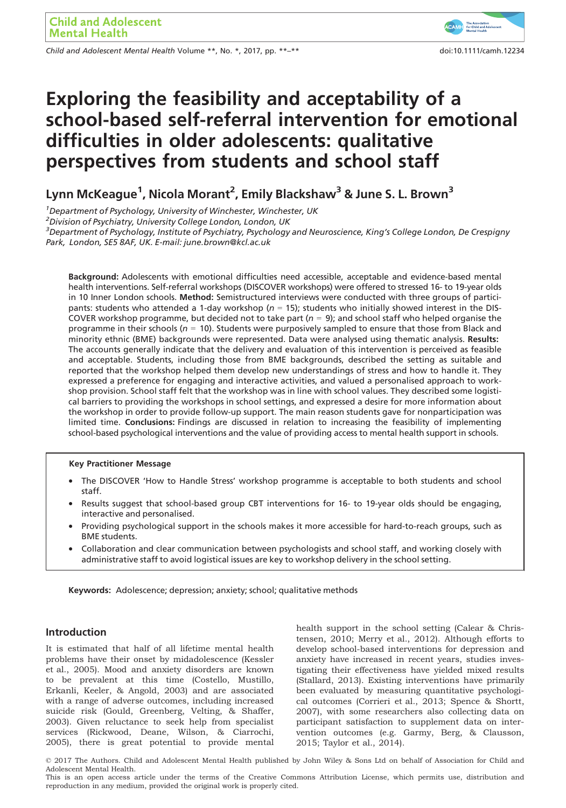Child and Adolescent Mental Health Volume \*\*, No. \*, 2017, pp. \*\*-\*\* doi:10.1111/camh.12234



# Exploring the feasibility and acceptability of a school-based self-referral intervention for emotional difficulties in older adolescents: qualitative perspectives from students and school staff

## Lynn McKeague<sup>1</sup>, Nicola Morant<sup>2</sup>, Emily Blackshaw<sup>3</sup> & June S. L. Brown<sup>3</sup>

1 Department of Psychology, University of Winchester, Winchester, UK

2 Division of Psychiatry, University College London, London, UK

<sup>3</sup>Department of Psychology, Institute of Psychiatry, Psychology and Neuroscience, King's College London, De Crespigny Park, London, SE5 8AF, UK. E-mail: june.brown@kcl.ac.uk

Background: Adolescents with emotional difficulties need accessible, acceptable and evidence-based mental health interventions. Self-referral workshops (DISCOVER workshops) were offered to stressed 16- to 19-year olds in 10 Inner London schools. Method: Semistructured interviews were conducted with three groups of participants: students who attended a 1-day workshop ( $n = 15$ ); students who initially showed interest in the DIS-COVER workshop programme, but decided not to take part ( $n = 9$ ); and school staff who helped organise the programme in their schools ( $n = 10$ ). Students were purposively sampled to ensure that those from Black and minority ethnic (BME) backgrounds were represented. Data were analysed using thematic analysis. Results: The accounts generally indicate that the delivery and evaluation of this intervention is perceived as feasible and acceptable. Students, including those from BME backgrounds, described the setting as suitable and reported that the workshop helped them develop new understandings of stress and how to handle it. They expressed a preference for engaging and interactive activities, and valued a personalised approach to workshop provision. School staff felt that the workshop was in line with school values. They described some logistical barriers to providing the workshops in school settings, and expressed a desire for more information about the workshop in order to provide follow-up support. The main reason students gave for nonparticipation was limited time. Conclusions: Findings are discussed in relation to increasing the feasibility of implementing school-based psychological interventions and the value of providing access to mental health support in schools.

#### Key Practitioner Message

- The DISCOVER 'How to Handle Stress' workshop programme is acceptable to both students and school staff.
- Results suggest that school-based group CBT interventions for 16- to 19-year olds should be engaging, interactive and personalised.
- Providing psychological support in the schools makes it more accessible for hard-to-reach groups, such as BME students.
- Collaboration and clear communication between psychologists and school staff, and working closely with administrative staff to avoid logistical issues are key to workshop delivery in the school setting.

Keywords: Adolescence; depression; anxiety; school; qualitative methods

### Introduction

It is estimated that half of all lifetime mental health problems have their onset by midadolescence (Kessler et al., 2005). Mood and anxiety disorders are known to be prevalent at this time (Costello, Mustillo, Erkanli, Keeler, & Angold, 2003) and are associated with a range of adverse outcomes, including increased suicide risk (Gould, Greenberg, Velting, & Shaffer, 2003). Given reluctance to seek help from specialist services (Rickwood, Deane, Wilson, & Ciarrochi, 2005), there is great potential to provide mental health support in the school setting (Calear & Christensen, 2010; Merry et al., 2012). Although efforts to develop school-based interventions for depression and anxiety have increased in recent years, studies investigating their effectiveness have yielded mixed results (Stallard, 2013). Existing interventions have primarily been evaluated by measuring quantitative psychological outcomes (Corrieri et al., 2013; Spence & Shortt, 2007), with some researchers also collecting data on participant satisfaction to supplement data on intervention outcomes (e.g. Garmy, Berg, & Clausson, 2015; Taylor et al., 2014).

<sup>©</sup> 2017 The Authors. Child and Adolescent Mental Health published by John Wiley & Sons Ltd on behalf of Association for Child and Adolescent Mental Health.

This is an open access article under the terms of the [Creative Commons Attribution](http://creativecommons.org/licenses/by/4.0/) License, which permits use, distribution and reproduction in any medium, provided the original work is properly cited.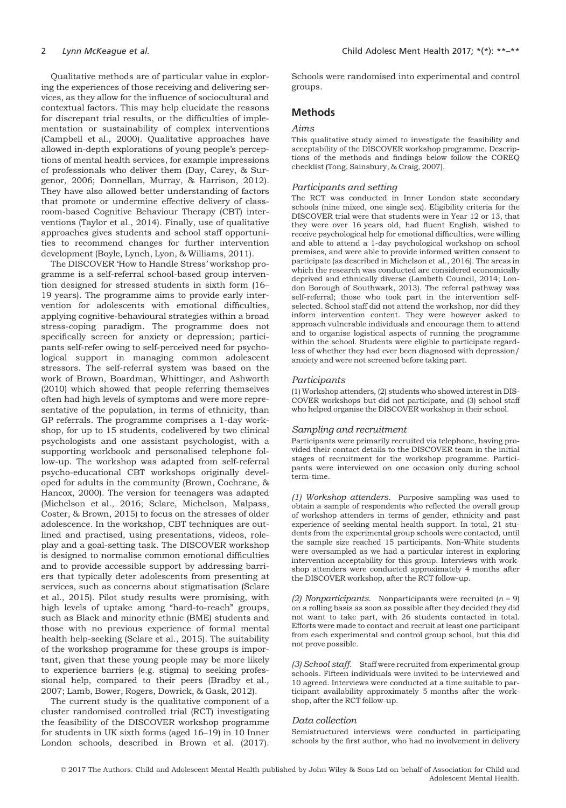Qualitative methods are of particular value in exploring the experiences of those receiving and delivering services, as they allow for the influence of sociocultural and contextual factors. This may help elucidate the reasons for discrepant trial results, or the difficulties of implementation or sustainability of complex interventions (Campbell et al., 2000). Qualitative approaches have allowed in-depth explorations of young people's perceptions of mental health services, for example impressions of professionals who deliver them (Day, Carey, & Surgenor, 2006; Donnellan, Murray, & Harrison, 2012). They have also allowed better understanding of factors that promote or undermine effective delivery of classroom-based Cognitive Behaviour Therapy (CBT) interventions (Taylor et al., 2014). Finally, use of qualitative approaches gives students and school staff opportunities to recommend changes for further intervention development (Boyle, Lynch, Lyon, & Williams, 2011).

The DISCOVER 'How to Handle Stress' workshop programme is a self-referral school-based group intervention designed for stressed students in sixth form (16– 19 years). The programme aims to provide early intervention for adolescents with emotional difficulties, applying cognitive-behavioural strategies within a broad stress-coping paradigm. The programme does not specifically screen for anxiety or depression; participants self-refer owing to self-perceived need for psychological support in managing common adolescent stressors. The self-referral system was based on the work of Brown, Boardman, Whittinger, and Ashworth (2010) which showed that people referring themselves often had high levels of symptoms and were more representative of the population, in terms of ethnicity, than GP referrals. The programme comprises a 1-day workshop, for up to 15 students, codelivered by two clinical psychologists and one assistant psychologist, with a supporting workbook and personalised telephone follow-up. The workshop was adapted from self-referral psycho-educational CBT workshops originally developed for adults in the community (Brown, Cochrane, & Hancox, 2000). The version for teenagers was adapted (Michelson et al., 2016; Sclare, Michelson, Malpass, Coster, & Brown, 2015) to focus on the stresses of older adolescence. In the workshop, CBT techniques are outlined and practised, using presentations, videos, roleplay and a goal-setting task. The DISCOVER workshop is designed to normalise common emotional difficulties and to provide accessible support by addressing barriers that typically deter adolescents from presenting at services, such as concerns about stigmatisation (Sclare et al., 2015). Pilot study results were promising, with high levels of uptake among "hard-to-reach" groups, such as Black and minority ethnic (BME) students and those with no previous experience of formal mental health help-seeking (Sclare et al., 2015). The suitability of the workshop programme for these groups is important, given that these young people may be more likely to experience barriers (e.g. stigma) to seeking professional help, compared to their peers (Bradby et al., 2007; Lamb, Bower, Rogers, Dowrick, & Gask, 2012).

The current study is the qualitative component of a cluster randomised controlled trial (RCT) investigating the feasibility of the DISCOVER workshop programme for students in UK sixth forms (aged 16–19) in 10 Inner London schools, described in Brown et al. (2017).

Schools were randomised into experimental and control groups.

#### Methods

#### Aims

This qualitative study aimed to investigate the feasibility and acceptability of the DISCOVER workshop programme. Descriptions of the methods and findings below follow the COREQ checklist (Tong, Sainsbury, & Craig, 2007).

#### Participants and setting

The RCT was conducted in Inner London state secondary schools (nine mixed, one single sex). Eligibility criteria for the DISCOVER trial were that students were in Year 12 or 13, that they were over 16 years old, had fluent English, wished to receive psychological help for emotional difficulties, were willing and able to attend a 1-day psychological workshop on school premises, and were able to provide informed written consent to participate (as described in Michelson et al., 2016). The areas in which the research was conducted are considered economically deprived and ethnically diverse (Lambeth Council, 2014; London Borough of Southwark, 2013). The referral pathway was self-referral; those who took part in the intervention selfselected. School staff did not attend the workshop, nor did they inform intervention content. They were however asked to approach vulnerable individuals and encourage them to attend and to organise logistical aspects of running the programme within the school. Students were eligible to participate regardless of whether they had ever been diagnosed with depression/ anxiety and were not screened before taking part.

#### Participants

(1) Workshop attenders, (2) students who showed interest in DIS-COVER workshops but did not participate, and (3) school staff who helped organise the DISCOVER workshop in their school.

#### Sampling and recruitment

Participants were primarily recruited via telephone, having provided their contact details to the DISCOVER team in the initial stages of recruitment for the workshop programme. Participants were interviewed on one occasion only during school term-time.

(1) Workshop attenders. Purposive sampling was used to obtain a sample of respondents who reflected the overall group of workshop attenders in terms of gender, ethnicity and past experience of seeking mental health support. In total, 21 students from the experimental group schools were contacted, until the sample size reached 15 participants. Non-White students were oversampled as we had a particular interest in exploring intervention acceptability for this group. Interviews with workshop attenders were conducted approximately 4 months after the DISCOVER workshop, after the RCT follow-up.

(2) Nonparticipants. Nonparticipants were recruited  $(n = 9)$ on a rolling basis as soon as possible after they decided they did not want to take part, with 26 students contacted in total. Efforts were made to contact and recruit at least one participant from each experimental and control group school, but this did not prove possible.

(3) School staff. Staff were recruited from experimental group schools. Fifteen individuals were invited to be interviewed and 10 agreed. Interviews were conducted at a time suitable to participant availability approximately 5 months after the workshop, after the RCT follow-up.

#### Data collection

Semistructured interviews were conducted in participating schools by the first author, who had no involvement in delivery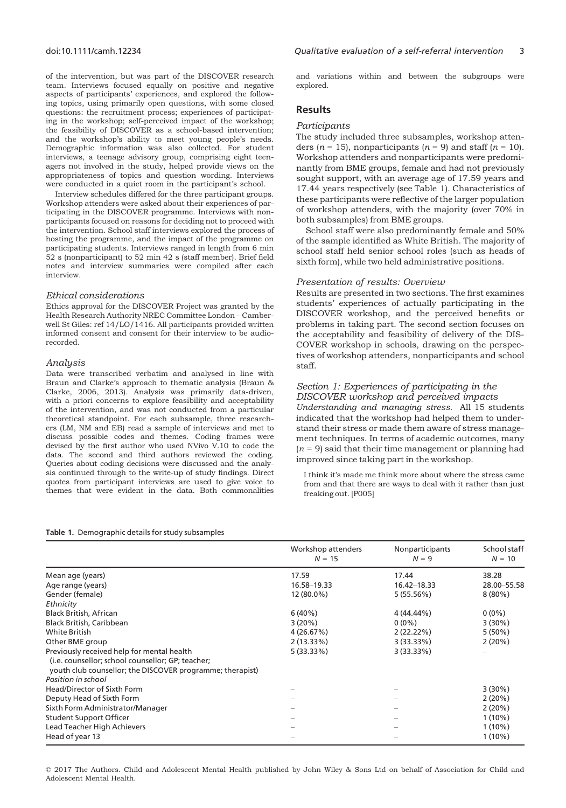of the intervention, but was part of the DISCOVER research team. Interviews focused equally on positive and negative aspects of participants' experiences, and explored the following topics, using primarily open questions, with some closed questions: the recruitment process; experiences of participating in the workshop; self-perceived impact of the workshop; the feasibility of DISCOVER as a school-based intervention; and the workshop's ability to meet young people's needs. Demographic information was also collected. For student interviews, a teenage advisory group, comprising eight teenagers not involved in the study, helped provide views on the appropriateness of topics and question wording. Interviews were conducted in a quiet room in the participant's school.

Interview schedules differed for the three participant groups. Workshop attenders were asked about their experiences of participating in the DISCOVER programme. Interviews with nonparticipants focused on reasons for deciding not to proceed with the intervention. School staff interviews explored the process of hosting the programme, and the impact of the programme on participating students. Interviews ranged in length from 6 min 52 s (nonparticipant) to 52 min 42 s (staff member). Brief field notes and interview summaries were compiled after each interview.

#### Ethical considerations

Ethics approval for the DISCOVER Project was granted by the Health Research Authority NREC Committee London – Camberwell St Giles: ref 14/LO/1416. All participants provided written informed consent and consent for their interview to be audiorecorded.

#### Analysis

Data were transcribed verbatim and analysed in line with Braun and Clarke's approach to thematic analysis (Braun & Clarke, 2006, 2013). Analysis was primarily data-driven, with a priori concerns to explore feasibility and acceptability of the intervention, and was not conducted from a particular theoretical standpoint. For each subsample, three researchers (LM, NM and EB) read a sample of interviews and met to discuss possible codes and themes. Coding frames were devised by the first author who used NVivo V.10 to code the data. The second and third authors reviewed the coding. Queries about coding decisions were discussed and the analysis continued through to the write-up of study findings. Direct quotes from participant interviews are used to give voice to themes that were evident in the data. Both commonalities

#### doi:10.1111/camh.12234 Qualitative evaluation of a self-referral intervention 3

and variations within and between the subgroups were explored.

#### Results

#### Participants

The study included three subsamples, workshop attenders ( $n = 15$ ), nonparticipants ( $n = 9$ ) and staff ( $n = 10$ ). Workshop attenders and nonparticipants were predominantly from BME groups, female and had not previously sought support, with an average age of 17.59 years and 17.44 years respectively (see Table 1). Characteristics of these participants were reflective of the larger population of workshop attenders, with the majority (over 70% in both subsamples) from BME groups.

School staff were also predominantly female and 50% of the sample identified as White British. The majority of school staff held senior school roles (such as heads of sixth form), while two held administrative positions.

#### Presentation of results: Overview

Results are presented in two sections. The first examines students' experiences of actually participating in the DISCOVER workshop, and the perceived benefits or problems in taking part. The second section focuses on the acceptability and feasibility of delivery of the DIS-COVER workshop in schools, drawing on the perspectives of workshop attenders, nonparticipants and school staff.

## Section 1: Experiences of participating in the

DISCOVER workshop and perceived impacts Understanding and managing stress. All 15 students indicated that the workshop had helped them to understand their stress or made them aware of stress management techniques. In terms of academic outcomes, many  $(n = 9)$  said that their time management or planning had improved since taking part in the workshop.

I think it's made me think more about where the stress came from and that there are ways to deal with it rather than just freaking out. [P005]

#### Table 1. Demographic details for study subsamples

|                                                                                                                                                              | Workshop attenders<br>$N = 15$ | Nonparticipants<br>$N = 9$ | School staff<br>$N = 10$ |
|--------------------------------------------------------------------------------------------------------------------------------------------------------------|--------------------------------|----------------------------|--------------------------|
| Mean age (years)                                                                                                                                             | 17.59                          | 17.44                      | 38.28                    |
| Age range (years)                                                                                                                                            | 16.58-19.33                    | 16.42-18.33                | 28.00 - 55.58            |
| Gender (female)                                                                                                                                              | 12 (80.0%)                     | 5(55.56%)                  | $8(80\%)$                |
| Ethnicity                                                                                                                                                    |                                |                            |                          |
| <b>Black British, African</b>                                                                                                                                | $6(40\%)$                      | 4 (44.44%)                 | $0(0\%)$                 |
| Black British, Caribbean                                                                                                                                     | 3(20%)                         | $0(0\%)$                   | $3(30\%)$                |
| White British                                                                                                                                                | 4(26.67%)                      | 2(22.22%)                  | $5(50\%)$                |
| Other BME group                                                                                                                                              | $2(13.33\%)$                   | 3(33.33%)                  | 2(20%)                   |
| Previously received help for mental health<br>(i.e. counsellor; school counsellor; GP; teacher;<br>youth club counsellor; the DISCOVER programme; therapist) | 5(33.33%)                      | 3(33.33%)                  |                          |
| Position in school                                                                                                                                           |                                |                            |                          |
| Head/Director of Sixth Form                                                                                                                                  |                                |                            | $3(30\%)$                |
| Deputy Head of Sixth Form                                                                                                                                    |                                |                            | 2(20%)                   |
| Sixth Form Administrator/Manager                                                                                                                             |                                |                            | 2(20%)                   |
| <b>Student Support Officer</b>                                                                                                                               |                                |                            | $1(10\%)$                |
| Lead Teacher High Achievers                                                                                                                                  |                                |                            | $1(10\%)$                |
| Head of year 13                                                                                                                                              |                                |                            | $1(10\%)$                |

© 2017 The Authors. Child and Adolescent Mental Health published by John Wiley & Sons Ltd on behalf of Association for Child and Adolescent Mental Health.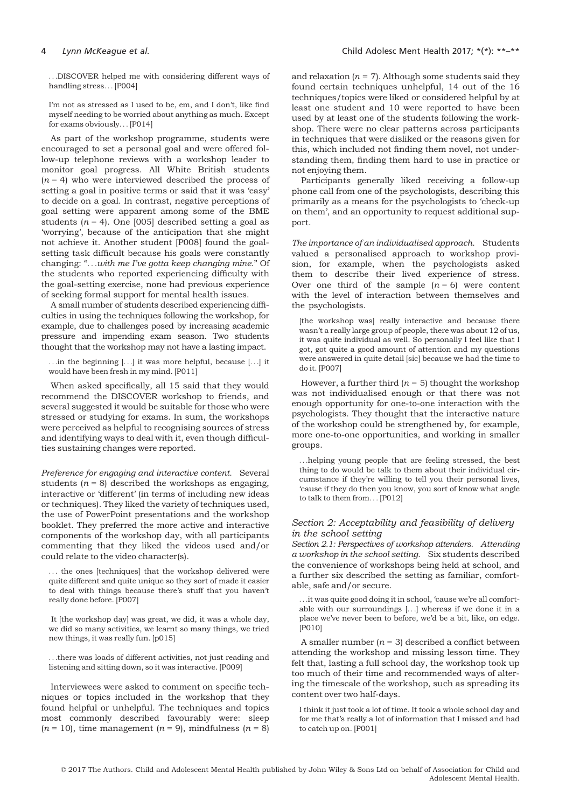...DISCOVER helped me with considering different ways of handling stress... [P004]

I'm not as stressed as I used to be, em, and I don't, like find myself needing to be worried about anything as much. Except for exams obviously... [P014]

As part of the workshop programme, students were encouraged to set a personal goal and were offered follow-up telephone reviews with a workshop leader to monitor goal progress. All White British students  $(n = 4)$  who were interviewed described the process of setting a goal in positive terms or said that it was 'easy' to decide on a goal. In contrast, negative perceptions of goal setting were apparent among some of the BME students ( $n = 4$ ). One [005] described setting a goal as 'worrying', because of the anticipation that she might not achieve it. Another student [P008] found the goalsetting task difficult because his goals were constantly changing: "...with me I've gotta keep changing mine." Of the students who reported experiencing difficulty with the goal-setting exercise, none had previous experience of seeking formal support for mental health issues.

A small number of students described experiencing difficulties in using the techniques following the workshop, for example, due to challenges posed by increasing academic pressure and impending exam season. Two students thought that the workshop may not have a lasting impact.

 $\dots$ in the beginning  $[\dots]$  it was more helpful, because  $[\dots]$  it would have been fresh in my mind. [P011]

When asked specifically, all 15 said that they would recommend the DISCOVER workshop to friends, and several suggested it would be suitable for those who were stressed or studying for exams. In sum, the workshops were perceived as helpful to recognising sources of stress and identifying ways to deal with it, even though difficulties sustaining changes were reported.

Preference for engaging and interactive content. Several students ( $n = 8$ ) described the workshops as engaging, interactive or 'different' (in terms of including new ideas or techniques). They liked the variety of techniques used, the use of PowerPoint presentations and the workshop booklet. They preferred the more active and interactive components of the workshop day, with all participants commenting that they liked the videos used and/or could relate to the video character(s).

... the ones [techniques] that the workshop delivered were quite different and quite unique so they sort of made it easier to deal with things because there's stuff that you haven't really done before. [P007]

It [the workshop day] was great, we did, it was a whole day, we did so many activities, we learnt so many things, we tried new things, it was really fun. [p015]

...there was loads of different activities, not just reading and listening and sitting down, so it was interactive. [P009]

Interviewees were asked to comment on specific techniques or topics included in the workshop that they found helpful or unhelpful. The techniques and topics most commonly described favourably were: sleep  $(n = 10)$ , time management  $(n = 9)$ , mindfulness  $(n = 8)$  and relaxation ( $n = 7$ ). Although some students said they found certain techniques unhelpful, 14 out of the 16 techniques/topics were liked or considered helpful by at least one student and 10 were reported to have been used by at least one of the students following the workshop. There were no clear patterns across participants in techniques that were disliked or the reasons given for this, which included not finding them novel, not understanding them, finding them hard to use in practice or not enjoying them.

Participants generally liked receiving a follow-up phone call from one of the psychologists, describing this primarily as a means for the psychologists to 'check-up on them', and an opportunity to request additional support.

The importance of an individualised approach. Students valued a personalised approach to workshop provision, for example, when the psychologists asked them to describe their lived experience of stress. Over one third of the sample  $(n = 6)$  were content with the level of interaction between themselves and the psychologists.

[the workshop was] really interactive and because there wasn't a really large group of people, there was about 12 of us, it was quite individual as well. So personally I feel like that I got, got quite a good amount of attention and my questions were answered in quite detail [sic] because we had the time to do it. [P007]

However, a further third  $(n = 5)$  thought the workshop was not individualised enough or that there was not enough opportunity for one-to-one interaction with the psychologists. They thought that the interactive nature of the workshop could be strengthened by, for example, more one-to-one opportunities, and working in smaller groups.

...helping young people that are feeling stressed, the best thing to do would be talk to them about their individual circumstance if they're willing to tell you their personal lives, 'cause if they do then you know, you sort of know what angle to talk to them from... [P012]

### Section 2: Acceptability and feasibility of delivery in the school setting

Section 2.1: Perspectives of workshop attenders. Attending a workshop in the school setting. Six students described the convenience of workshops being held at school, and a further six described the setting as familiar, comfortable, safe and/or secure.

...it was quite good doing it in school, 'cause we're all comfortable with our surroundings [...] whereas if we done it in a place we've never been to before, we'd be a bit, like, on edge. [P010]

A smaller number  $(n = 3)$  described a conflict between attending the workshop and missing lesson time. They felt that, lasting a full school day, the workshop took up too much of their time and recommended ways of altering the timescale of the workshop, such as spreading its content over two half-days.

I think it just took a lot of time. It took a whole school day and for me that's really a lot of information that I missed and had to catch up on. [P001]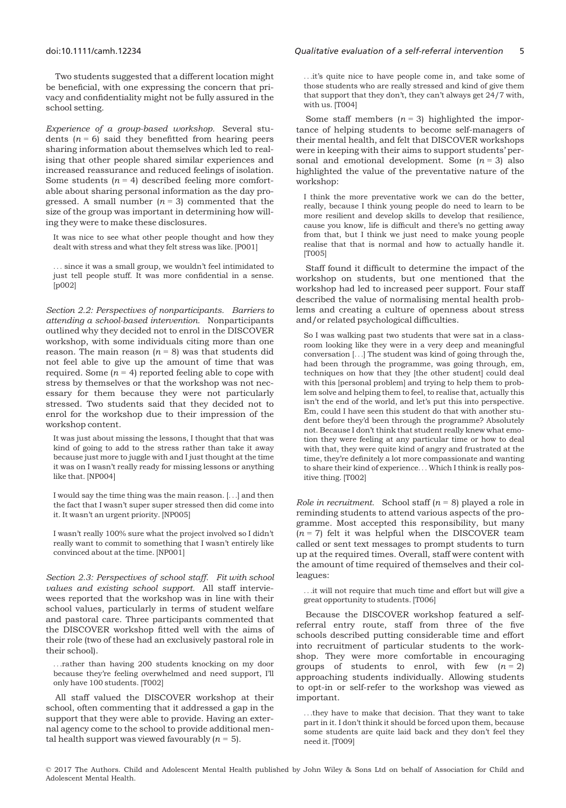Two students suggested that a different location might be beneficial, with one expressing the concern that privacy and confidentiality might not be fully assured in the school setting.

Experience of a group-based workshop. Several students  $(n = 6)$  said they benefitted from hearing peers sharing information about themselves which led to realising that other people shared similar experiences and increased reassurance and reduced feelings of isolation. Some students  $(n = 4)$  described feeling more comfortable about sharing personal information as the day progressed. A small number  $(n = 3)$  commented that the size of the group was important in determining how willing they were to make these disclosures.

It was nice to see what other people thought and how they dealt with stress and what they felt stress was like. [P001]

... since it was a small group, we wouldn't feel intimidated to just tell people stuff. It was more confidential in a sense. [p002]

Section 2.2: Perspectives of nonparticipants. Barriers to attending a school-based intervention. Nonparticipants outlined why they decided not to enrol in the DISCOVER workshop, with some individuals citing more than one reason. The main reason  $(n = 8)$  was that students did not feel able to give up the amount of time that was required. Some  $(n = 4)$  reported feeling able to cope with stress by themselves or that the workshop was not necessary for them because they were not particularly stressed. Two students said that they decided not to enrol for the workshop due to their impression of the workshop content.

It was just about missing the lessons, I thought that that was kind of going to add to the stress rather than take it away because just more to juggle with and I just thought at the time it was on I wasn't really ready for missing lessons or anything like that. [NP004]

I would say the time thing was the main reason. [...] and then the fact that I wasn't super super stressed then did come into it. It wasn't an urgent priority. [NP005]

I wasn't really 100% sure what the project involved so I didn't really want to commit to something that I wasn't entirely like convinced about at the time. [NP001]

Section 2.3: Perspectives of school staff. Fit with school values and existing school support. All staff interviewees reported that the workshop was in line with their school values, particularly in terms of student welfare and pastoral care. Three participants commented that the DISCOVER workshop fitted well with the aims of their role (two of these had an exclusively pastoral role in their school).

...rather than having 200 students knocking on my door because they're feeling overwhelmed and need support, I'll only have 100 students. [T002]

All staff valued the DISCOVER workshop at their school, often commenting that it addressed a gap in the support that they were able to provide. Having an external agency come to the school to provide additional mental health support was viewed favourably  $(n = 5)$ .

...it's quite nice to have people come in, and take some of those students who are really stressed and kind of give them that support that they don't, they can't always get 24/7 with, with us. [T004]

Some staff members  $(n = 3)$  highlighted the importance of helping students to become self-managers of their mental health, and felt that DISCOVER workshops were in keeping with their aims to support students' personal and emotional development. Some  $(n = 3)$  also highlighted the value of the preventative nature of the workshop:

I think the more preventative work we can do the better, really, because I think young people do need to learn to be more resilient and develop skills to develop that resilience, cause you know, life is difficult and there's no getting away from that, but I think we just need to make young people realise that that is normal and how to actually handle it. [T005]

Staff found it difficult to determine the impact of the workshop on students, but one mentioned that the workshop had led to increased peer support. Four staff described the value of normalising mental health problems and creating a culture of openness about stress and/or related psychological difficulties.

So I was walking past two students that were sat in a classroom looking like they were in a very deep and meaningful conversation [...] The student was kind of going through the, had been through the programme, was going through, em, techniques on how that they [the other student] could deal with this [personal problem] and trying to help them to problem solve and helping them to feel, to realise that, actually this isn't the end of the world, and let's put this into perspective. Em, could I have seen this student do that with another student before they'd been through the programme? Absolutely not. Because I don't think that student really knew what emotion they were feeling at any particular time or how to deal with that, they were quite kind of angry and frustrated at the time, they're definitely a lot more compassionate and wanting to share their kind of experience... Which I think is really positive thing. [T002]

Role in recruitment. School staff  $(n = 8)$  played a role in reminding students to attend various aspects of the programme. Most accepted this responsibility, but many  $(n = 7)$  felt it was helpful when the DISCOVER team called or sent text messages to prompt students to turn up at the required times. Overall, staff were content with the amount of time required of themselves and their colleagues:

...it will not require that much time and effort but will give a great opportunity to students. [T006]

Because the DISCOVER workshop featured a selfreferral entry route, staff from three of the five schools described putting considerable time and effort into recruitment of particular students to the workshop. They were more comfortable in encouraging groups of students to enrol, with few  $(n = 2)$ approaching students individually. Allowing students to opt-in or self-refer to the workshop was viewed as important.

...they have to make that decision. That they want to take part in it. I don't think it should be forced upon them, because some students are quite laid back and they don't feel they need it. [T009]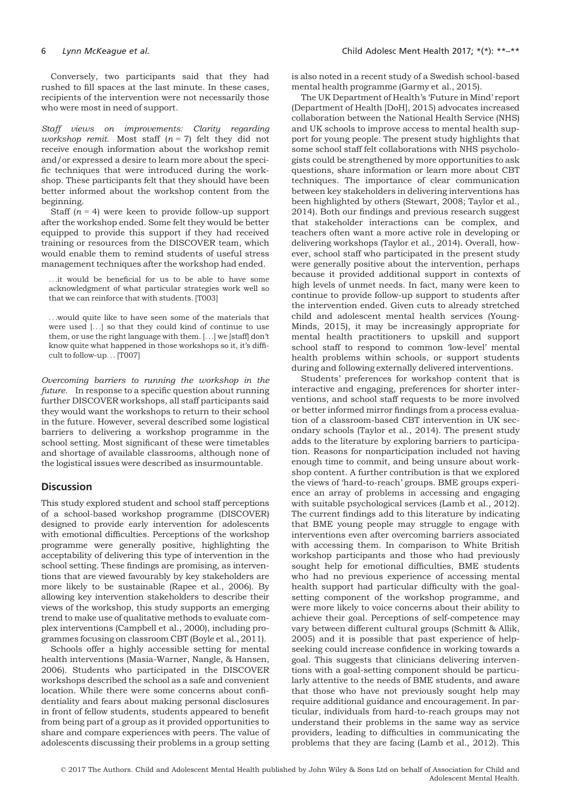Conversely, two participants said that they had rushed to fill spaces at the last minute. In these cases, recipients of the intervention were not necessarily those who were most in need of support.

Staff views on improvements: Clarity regarding workshop remit. Most staff  $(n = 7)$  felt they did not receive enough information about the workshop remit and/or expressed a desire to learn more about the specific techniques that were introduced during the workshop. These participants felt that they should have been better informed about the workshop content from the beginning.

Staff  $(n = 4)$  were keen to provide follow-up support after the workshop ended. Some felt they would be better equipped to provide this support if they had received training or resources from the DISCOVER team, which would enable them to remind students of useful stress management techniques after the workshop had ended.

...it would be beneficial for us to be able to have some acknowledgment of what particular strategies work well so that we can reinforce that with students. [T003]

...would quite like to have seen some of the materials that were used [...] so that they could kind of continue to use them, or use the right language with them. [...] we [staff] don't know quite what happened in those workshops so it, it's difficult to follow-up... [T007]

Overcoming barriers to running the workshop in the future. In response to a specific question about running further DISCOVER workshops, all staff participants said they would want the workshops to return to their school in the future. However, several described some logistical barriers to delivering a workshop programme in the school setting. Most significant of these were timetables and shortage of available classrooms, although none of the logistical issues were described as insurmountable.

### **Discussion**

This study explored student and school staff perceptions of a school-based workshop programme (DISCOVER) designed to provide early intervention for adolescents with emotional difficulties. Perceptions of the workshop programme were generally positive, highlighting the acceptability of delivering this type of intervention in the school setting. These findings are promising, as interventions that are viewed favourably by key stakeholders are more likely to be sustainable (Rapee et al., 2006). By allowing key intervention stakeholders to describe their views of the workshop, this study supports an emerging trend to make use of qualitative methods to evaluate complex interventions (Campbell et al., 2000), including programmes focusing on classroom CBT (Boyle et al., 2011).

Schools offer a highly accessible setting for mental health interventions (Masia-Warner, Nangle, & Hansen, 2006). Students who participated in the DISCOVER workshops described the school as a safe and convenient location. While there were some concerns about confidentiality and fears about making personal disclosures in front of fellow students, students appeared to benefit from being part of a group as it provided opportunities to share and compare experiences with peers. The value of adolescents discussing their problems in a group setting

is also noted in a recent study of a Swedish school-based mental health programme (Garmy et al., 2015).

The UK Department of Health's 'Future in Mind' report (Department of Health [DoH], 2015) advocates increased collaboration between the National Health Service (NHS) and UK schools to improve access to mental health support for young people. The present study highlights that some school staff felt collaborations with NHS psychologists could be strengthened by more opportunities to ask questions, share information or learn more about CBT techniques. The importance of clear communication between key stakeholders in delivering interventions has been highlighted by others (Stewart, 2008; Taylor et al., 2014). Both our findings and previous research suggest that stakeholder interactions can be complex, and teachers often want a more active role in developing or delivering workshops (Taylor et al., 2014). Overall, however, school staff who participated in the present study were generally positive about the intervention, perhaps because it provided additional support in contexts of high levels of unmet needs. In fact, many were keen to continue to provide follow-up support to students after the intervention ended. Given cuts to already stretched child and adolescent mental health services (Young-Minds, 2015), it may be increasingly appropriate for mental health practitioners to upskill and support school staff to respond to common 'low-level' mental health problems within schools, or support students during and following externally delivered interventions.

Students' preferences for workshop content that is interactive and engaging, preferences for shorter interventions, and school staff requests to be more involved or better informed mirror findings from a process evaluation of a classroom-based CBT intervention in UK secondary schools (Taylor et al., 2014). The present study adds to the literature by exploring barriers to participation. Reasons for nonparticipation included not having enough time to commit, and being unsure about workshop content. A further contribution is that we explored the views of 'hard-to-reach' groups. BME groups experience an array of problems in accessing and engaging with suitable psychological services (Lamb et al., 2012). The current findings add to this literature by indicating that BME young people may struggle to engage with interventions even after overcoming barriers associated with accessing them. In comparison to White British workshop participants and those who had previously sought help for emotional difficulties, BME students who had no previous experience of accessing mental health support had particular difficulty with the goalsetting component of the workshop programme, and were more likely to voice concerns about their ability to achieve their goal. Perceptions of self-competence may vary between different cultural groups (Schmitt & Allik, 2005) and it is possible that past experience of helpseeking could increase confidence in working towards a goal. This suggests that clinicians delivering interventions with a goal-setting component should be particularly attentive to the needs of BME students, and aware that those who have not previously sought help may require additional guidance and encouragement. In particular, individuals from hard-to-reach groups may not understand their problems in the same way as service providers, leading to difficulties in communicating the problems that they are facing (Lamb et al., 2012). This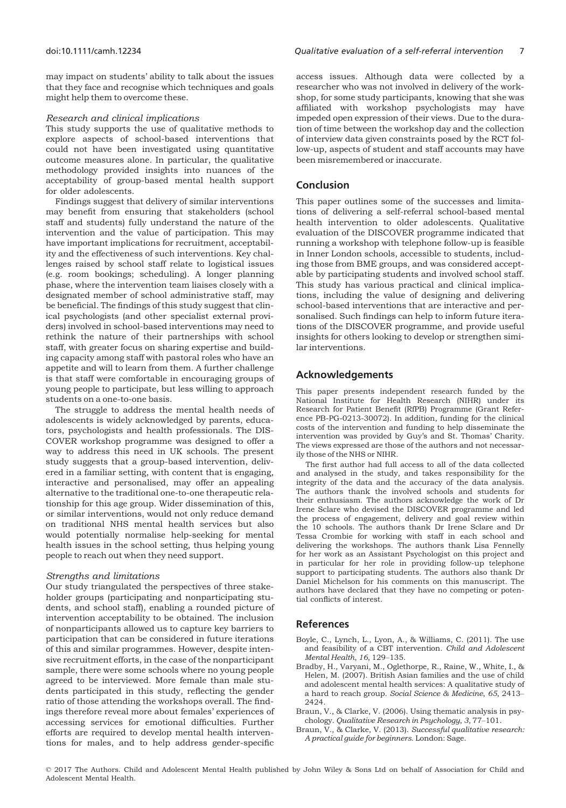may impact on students' ability to talk about the issues that they face and recognise which techniques and goals might help them to overcome these.

#### Research and clinical implications

This study supports the use of qualitative methods to explore aspects of school-based interventions that could not have been investigated using quantitative outcome measures alone. In particular, the qualitative methodology provided insights into nuances of the acceptability of group-based mental health support for older adolescents.

Findings suggest that delivery of similar interventions may benefit from ensuring that stakeholders (school staff and students) fully understand the nature of the intervention and the value of participation. This may have important implications for recruitment, acceptability and the effectiveness of such interventions. Key challenges raised by school staff relate to logistical issues (e.g. room bookings; scheduling). A longer planning phase, where the intervention team liaises closely with a designated member of school administrative staff, may be beneficial. The findings of this study suggest that clinical psychologists (and other specialist external providers) involved in school-based interventions may need to rethink the nature of their partnerships with school staff, with greater focus on sharing expertise and building capacity among staff with pastoral roles who have an appetite and will to learn from them. A further challenge is that staff were comfortable in encouraging groups of young people to participate, but less willing to approach students on a one-to-one basis.

The struggle to address the mental health needs of adolescents is widely acknowledged by parents, educators, psychologists and health professionals. The DIS-COVER workshop programme was designed to offer a way to address this need in UK schools. The present study suggests that a group-based intervention, delivered in a familiar setting, with content that is engaging, interactive and personalised, may offer an appealing alternative to the traditional one-to-one therapeutic relationship for this age group. Wider dissemination of this, or similar interventions, would not only reduce demand on traditional NHS mental health services but also would potentially normalise help-seeking for mental health issues in the school setting, thus helping young people to reach out when they need support.

#### Strengths and limitations

Our study triangulated the perspectives of three stakeholder groups (participating and nonparticipating students, and school staff), enabling a rounded picture of intervention acceptability to be obtained. The inclusion of nonparticipants allowed us to capture key barriers to participation that can be considered in future iterations of this and similar programmes. However, despite intensive recruitment efforts, in the case of the nonparticipant sample, there were some schools where no young people agreed to be interviewed. More female than male students participated in this study, reflecting the gender ratio of those attending the workshops overall. The findings therefore reveal more about females' experiences of accessing services for emotional difficulties. Further efforts are required to develop mental health interventions for males, and to help address gender-specific access issues. Although data were collected by a researcher who was not involved in delivery of the workshop, for some study participants, knowing that she was affiliated with workshop psychologists may have impeded open expression of their views. Due to the duration of time between the workshop day and the collection of interview data given constraints posed by the RCT follow-up, aspects of student and staff accounts may have been misremembered or inaccurate.

### Conclusion

This paper outlines some of the successes and limitations of delivering a self-referral school-based mental health intervention to older adolescents. Qualitative evaluation of the DISCOVER programme indicated that running a workshop with telephone follow-up is feasible in Inner London schools, accessible to students, including those from BME groups, and was considered acceptable by participating students and involved school staff. This study has various practical and clinical implications, including the value of designing and delivering school-based interventions that are interactive and personalised. Such findings can help to inform future iterations of the DISCOVER programme, and provide useful insights for others looking to develop or strengthen similar interventions.

### Acknowledgements

This paper presents independent research funded by the National Institute for Health Research (NIHR) under its Research for Patient Benefit (RfPB) Programme (Grant Reference PB-PG-0213-30072). In addition, funding for the clinical costs of the intervention and funding to help disseminate the intervention was provided by Guy's and St. Thomas' Charity. The views expressed are those of the authors and not necessarily those of the NHS or NIHR.

The first author had full access to all of the data collected and analysed in the study, and takes responsibility for the integrity of the data and the accuracy of the data analysis. The authors thank the involved schools and students for their enthusiasm. The authors acknowledge the work of Dr Irene Sclare who devised the DISCOVER programme and led the process of engagement, delivery and goal review within the 10 schools. The authors thank Dr Irene Sclare and Dr Tessa Crombie for working with staff in each school and delivering the workshops. The authors thank Lisa Fennelly for her work as an Assistant Psychologist on this project and in particular for her role in providing follow-up telephone support to participating students. The authors also thank Dr Daniel Michelson for his comments on this manuscript. The authors have declared that they have no competing or potential conflicts of interest.

### References

- Boyle, C., Lynch, L., Lyon, A., & Williams, C. (2011). The use and feasibility of a CBT intervention. Child and Adolescent Mental Health, 16, 129–135.
- Bradby, H., Varyani, M., Oglethorpe, R., Raine, W., White, I., & Helen, M. (2007). British Asian families and the use of child and adolescent mental health services: A qualitative study of a hard to reach group. Social Science & Medicine, 65, 2413– 2424.
- Braun, V., & Clarke, V. (2006). Using thematic analysis in psychology. Qualitative Research in Psychology, 3, 77–101.
- Braun, V., & Clarke, V. (2013). Successful qualitative research: A practical guide for beginners. London: Sage.

© 2017 The Authors. Child and Adolescent Mental Health published by John Wiley & Sons Ltd on behalf of Association for Child and Adolescent Mental Health.